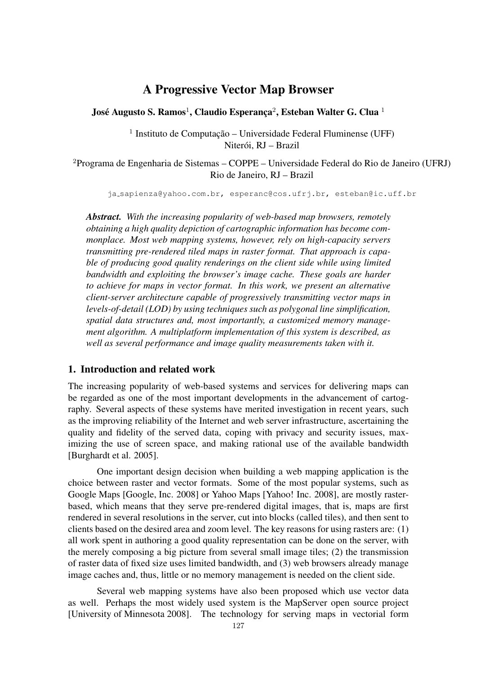# A Progressive Vector Map Browser

José Augusto S. Ramos<sup>1</sup>, Claudio Esperanca<sup>2</sup>, Esteban Walter G. Clua<sup>1</sup>

<sup>1</sup> Instituto de Computação – Universidade Federal Fluminense (UFF) Niterói, RJ – Brazil

<sup>2</sup>Programa de Engenharia de Sistemas – COPPE – Universidade Federal do Rio de Janeiro (UFRJ) Rio de Janeiro, RJ – Brazil

ja sapienza@yahoo.com.br, esperanc@cos.ufrj.br, esteban@ic.uff.br

*Abstract. With the increasing popularity of web-based map browsers, remotely obtaining a high quality depiction of cartographic information has become commonplace. Most web mapping systems, however, rely on high-capacity servers transmitting pre-rendered tiled maps in raster format. That approach is capable of producing good quality renderings on the client side while using limited bandwidth and exploiting the browser's image cache. These goals are harder to achieve for maps in vector format. In this work, we present an alternative client-server architecture capable of progressively transmitting vector maps in levels-of-detail (LOD) by using techniques such as polygonal line simplification, spatial data structures and, most importantly, a customized memory management algorithm. A multiplatform implementation of this system is described, as well as several performance and image quality measurements taken with it.*

# 1. Introduction and related work

The increasing popularity of web-based systems and services for delivering maps can be regarded as one of the most important developments in the advancement of cartography. Several aspects of these systems have merited investigation in recent years, such as the improving reliability of the Internet and web server infrastructure, ascertaining the quality and fidelity of the served data, coping with privacy and security issues, maximizing the use of screen space, and making rational use of the available bandwidth [Burghardt et al. 2005].

One important design decision when building a web mapping application is the choice between raster and vector formats. Some of the most popular systems, such as Google Maps [Google, Inc. 2008] or Yahoo Maps [Yahoo! Inc. 2008], are mostly rasterbased, which means that they serve pre-rendered digital images, that is, maps are first rendered in several resolutions in the server, cut into blocks (called tiles), and then sent to clients based on the desired area and zoom level. The key reasons for using rasters are: (1) all work spent in authoring a good quality representation can be done on the server, with the merely composing a big picture from several small image tiles; (2) the transmission of raster data of fixed size uses limited bandwidth, and (3) web browsers already manage image caches and, thus, little or no memory management is needed on the client side.

Several web mapping systems have also been proposed which use vector data as well. Perhaps the most widely used system is the MapServer open source project [University of Minnesota 2008]. The technology for serving maps in vectorial form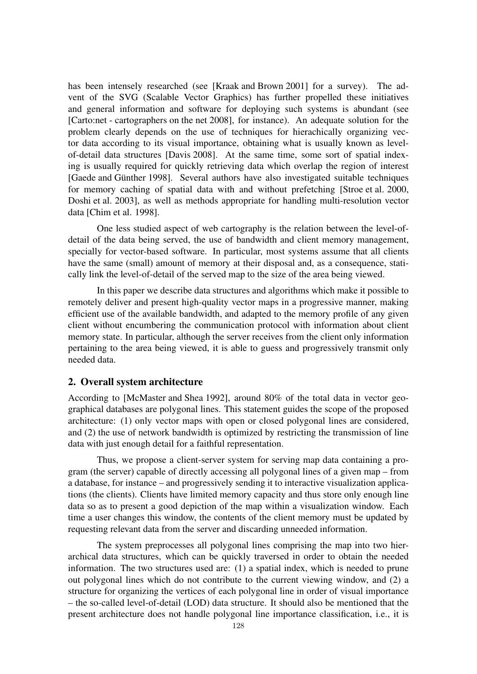has been intensely researched (see [Kraak and Brown 2001] for a survey). The advent of the SVG (Scalable Vector Graphics) has further propelled these initiatives and general information and software for deploying such systems is abundant (see [Carto:net - cartographers on the net 2008], for instance). An adequate solution for the problem clearly depends on the use of techniques for hierachically organizing vector data according to its visual importance, obtaining what is usually known as levelof-detail data structures [Davis 2008]. At the same time, some sort of spatial indexing is usually required for quickly retrieving data which overlap the region of interest [Gaede and Günther 1998]. Several authors have also investigated suitable techniques for memory caching of spatial data with and without prefetching [Stroe et al. 2000, Doshi et al. 2003], as well as methods appropriate for handling multi-resolution vector data [Chim et al. 1998].

One less studied aspect of web cartography is the relation between the level-ofdetail of the data being served, the use of bandwidth and client memory management, specially for vector-based software. In particular, most systems assume that all clients have the same (small) amount of memory at their disposal and, as a consequence, statically link the level-of-detail of the served map to the size of the area being viewed.

In this paper we describe data structures and algorithms which make it possible to remotely deliver and present high-quality vector maps in a progressive manner, making efficient use of the available bandwidth, and adapted to the memory profile of any given client without encumbering the communication protocol with information about client memory state. In particular, although the server receives from the client only information pertaining to the area being viewed, it is able to guess and progressively transmit only needed data.

#### 2. Overall system architecture

According to [McMaster and Shea 1992], around 80% of the total data in vector geographical databases are polygonal lines. This statement guides the scope of the proposed architecture: (1) only vector maps with open or closed polygonal lines are considered, and (2) the use of network bandwidth is optimized by restricting the transmission of line data with just enough detail for a faithful representation.

Thus, we propose a client-server system for serving map data containing a program (the server) capable of directly accessing all polygonal lines of a given map – from a database, for instance – and progressively sending it to interactive visualization applications (the clients). Clients have limited memory capacity and thus store only enough line data so as to present a good depiction of the map within a visualization window. Each time a user changes this window, the contents of the client memory must be updated by requesting relevant data from the server and discarding unneeded information.

The system preprocesses all polygonal lines comprising the map into two hierarchical data structures, which can be quickly traversed in order to obtain the needed information. The two structures used are: (1) a spatial index, which is needed to prune out polygonal lines which do not contribute to the current viewing window, and (2) a structure for organizing the vertices of each polygonal line in order of visual importance – the so-called level-of-detail (LOD) data structure. It should also be mentioned that the present architecture does not handle polygonal line importance classification, i.e., it is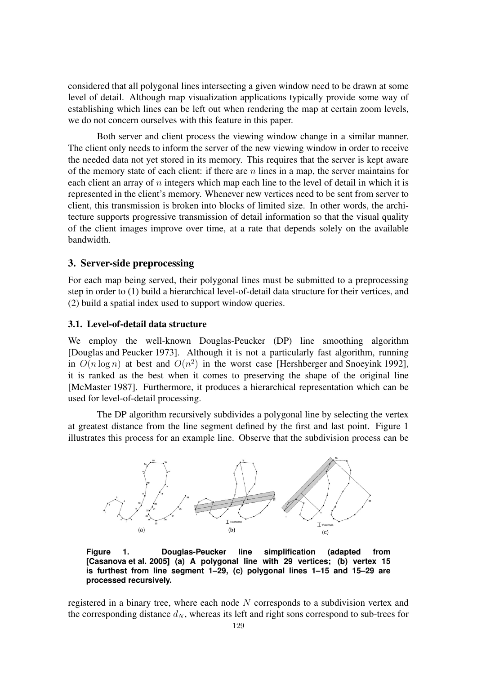considered that all polygonal lines intersecting a given window need to be drawn at some level of detail. Although map visualization applications typically provide some way of establishing which lines can be left out when rendering the map at certain zoom levels, we do not concern ourselves with this feature in this paper.

Both server and client process the viewing window change in a similar manner. The client only needs to inform the server of the new viewing window in order to receive the needed data not yet stored in its memory. This requires that the server is kept aware of the memory state of each client: if there are *n* lines in a map, the server maintains for each client an array of *n* integers which map each line to the level of detail in which it is represented in the client's memory. Whenever new vertices need to be sent from server to client, this transmission is broken into blocks of limited size. In other words, the architecture supports progressive transmission of detail information so that the visual quality of the client images improve over time, at a rate that depends solely on the available bandwidth.

# 3. Server-side preprocessing

For each map being served, their polygonal lines must be submitted to a preprocessing step in order to (1) build a hierarchical level-of-detail data structure for their vertices, and (2) build a spatial index used to support window queries.

#### 3.1. Level-of-detail data structure

We employ the well-known Douglas-Peucker (DP) line smoothing algorithm [Douglas and Peucker 1973]. Although it is not a particularly fast algorithm, running in  $O(n \log n)$  at best and  $O(n^2)$  in the worst case [Hershberger and Snoeyink 1992], it is ranked as the best when it comes to preserving the shape of the original line [McMaster 1987]. Furthermore, it produces a hierarchical representation which can be used for level-of-detail processing.

The DP algorithm recursively subdivides a polygonal line by selecting the vertex at greatest distance from the line segment defined by the first and last point. Figure 1 illustrates this process for an example line. Observe that the subdivision process can be



**Figure 1. Douglas-Peucker line simplification (adapted from [Casanova et al. 2005] (a) A polygonal line with 29 vertices; (b) vertex 15 is furthest from line segment 1–29, (c) polygonal lines 1–15 and 15–29 are processed recursively.**

registered in a binary tree, where each node *N* corresponds to a subdivision vertex and the corresponding distance  $d_N$ , whereas its left and right sons correspond to sub-trees for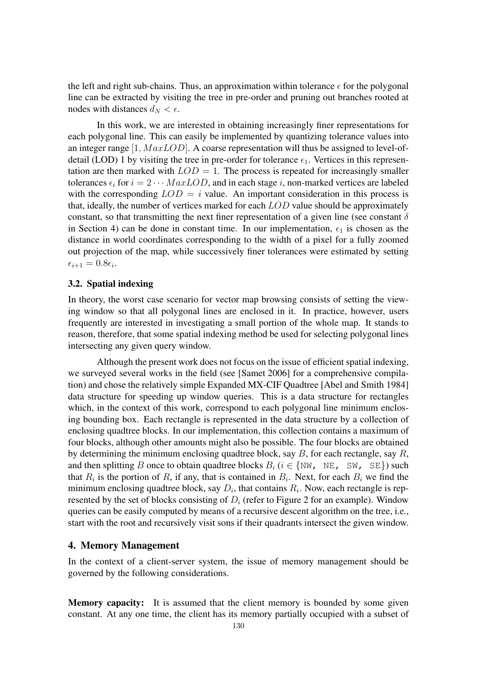the left and right sub-chains. Thus, an approximation within tolerance  $\epsilon$  for the polygonal line can be extracted by visiting the tree in pre-order and pruning out branches rooted at nodes with distances  $d_N < \epsilon$ .

In this work, we are interested in obtaining increasingly finer representations for each polygonal line. This can easily be implemented by quantizing tolerance values into an integer range [1*, M axLOD*]. A coarse representation will thus be assigned to level-ofdetail (LOD) 1 by visiting the tree in pre-order for tolerance  $\epsilon_1$ . Vertices in this representation are then marked with  $LOD = 1$ . The process is repeated for increasingly smaller tolerances  $\epsilon_i$  for  $i = 2 \cdots MaxLOD$ , and in each stage *i*, non-marked vertices are labeled with the corresponding  $LOD = i$  value. An important consideration in this process is that, ideally, the number of vertices marked for each *LOD* value should be approximately constant, so that transmitting the next finer representation of a given line (see constant  $\delta$ in Section 4) can be done in constant time. In our implementation,  $\epsilon_1$  is chosen as the distance in world coordinates corresponding to the width of a pixel for a fully zoomed out projection of the map, while successively finer tolerances were estimated by setting  $\epsilon_{i+1} = 0.8\epsilon_i$ .

#### 3.2. Spatial indexing

In theory, the worst case scenario for vector map browsing consists of setting the viewing window so that all polygonal lines are enclosed in it. In practice, however, users frequently are interested in investigating a small portion of the whole map. It stands to reason, therefore, that some spatial indexing method be used for selecting polygonal lines intersecting any given query window.

Although the present work does not focus on the issue of efficient spatial indexing, we surveyed several works in the field (see [Samet 2006] for a comprehensive compilation) and chose the relatively simple Expanded MX-CIF Quadtree [Abel and Smith 1984] data structure for speeding up window queries. This is a data structure for rectangles which, in the context of this work, correspond to each polygonal line minimum enclosing bounding box. Each rectangle is represented in the data structure by a collection of enclosing quadtree blocks. In our implementation, this collection contains a maximum of four blocks, although other amounts might also be possible. The four blocks are obtained by determining the minimum enclosing quadtree block, say *B*, for each rectangle, say *R*, and then splitting *B* once to obtain quadtree blocks  $B_i$  ( $i \in \{NW, NE, SW, SE\}$ ) such that  $R_i$  is the portion of  $R_i$ , if any, that is contained in  $B_i$ . Next, for each  $B_i$  we find the minimum enclosing quadtree block, say  $D_i$ , that contains  $R_i$ . Now, each rectangle is represented by the set of blocks consisting of  $D_i$  (refer to Figure 2 for an example). Window queries can be easily computed by means of a recursive descent algorithm on the tree, i.e., start with the root and recursively visit sons if their quadrants intersect the given window.

#### 4. Memory Management

In the context of a client-server system, the issue of memory management should be governed by the following considerations.

Memory capacity: It is assumed that the client memory is bounded by some given constant. At any one time, the client has its memory partially occupied with a subset of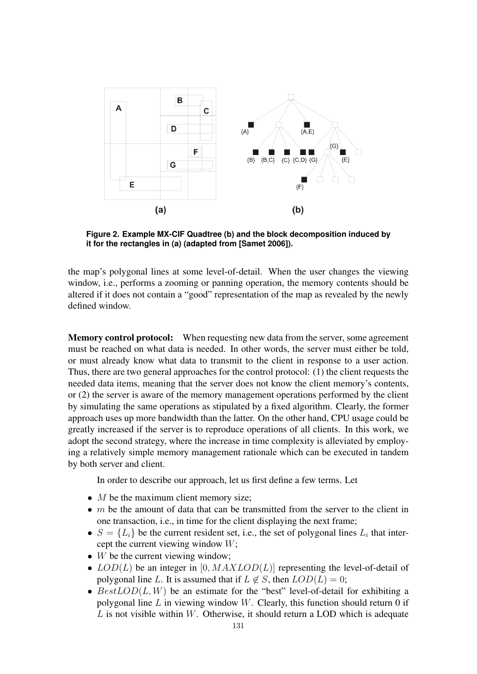

**Figure 2. Example MX-CIF Quadtree (b) and the block decomposition induced by it for the rectangles in (a) (adapted from [Samet 2006]).**

the map's polygonal lines at some level-of-detail. When the user changes the viewing window, i.e., performs a zooming or panning operation, the memory contents should be altered if it does not contain a "good" representation of the map as revealed by the newly defined window.

Memory control protocol: When requesting new data from the server, some agreement must be reached on what data is needed. In other words, the server must either be told, or must already know what data to transmit to the client in response to a user action. Thus, there are two general approaches for the control protocol: (1) the client requests the needed data items, meaning that the server does not know the client memory's contents, or (2) the server is aware of the memory management operations performed by the client by simulating the same operations as stipulated by a fixed algorithm. Clearly, the former approach uses up more bandwidth than the latter. On the other hand, CPU usage could be greatly increased if the server is to reproduce operations of all clients. In this work, we adopt the second strategy, where the increase in time complexity is alleviated by employing a relatively simple memory management rationale which can be executed in tandem by both server and client.

In order to describe our approach, let us first define a few terms. Let

- *M* be the maximum client memory size;
- *m* be the amount of data that can be transmitted from the server to the client in one transaction, i.e., in time for the client displaying the next frame;
- $S = \{L_i\}$  be the current resident set, i.e., the set of polygonal lines  $L_i$  that intercept the current viewing window *W*;
- *W* be the current viewing window;
- *LOD*(*L*) be an integer in [0*, MAXLOD*(*L*)] representing the level-of-detail of polygonal line *L*. It is assumed that if  $L \notin S$ , then  $LOD(L) = 0$ ;
- *BestLOD*(*L, W*) be an estimate for the "best" level-of-detail for exhibiting a polygonal line *L* in viewing window *W*. Clearly, this function should return 0 if *L* is not visible within *W*. Otherwise, it should return a LOD which is adequate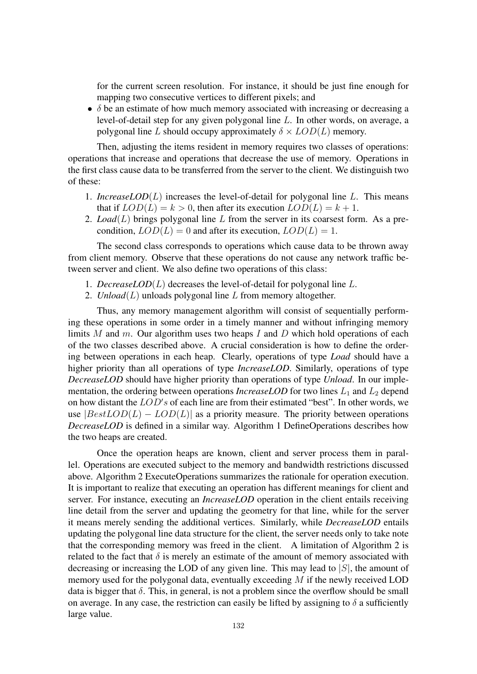for the current screen resolution. For instance, it should be just fine enough for mapping two consecutive vertices to different pixels; and

•  $\delta$  be an estimate of how much memory associated with increasing or decreasing a level-of-detail step for any given polygonal line *L*. In other words, on average, a polygonal line *L* should occupy approximately  $\delta \times LOD(L)$  memory.

Then, adjusting the items resident in memory requires two classes of operations: operations that increase and operations that decrease the use of memory. Operations in the first class cause data to be transferred from the server to the client. We distinguish two of these:

- 1. *IncreaseLOD*(*L*) increases the level-of-detail for polygonal line *L*. This means that if  $LOD(L) = k > 0$ , then after its execution  $LOD(L) = k + 1$ .
- 2. *Load*(*L*) brings polygonal line *L* from the server in its coarsest form. As a precondition,  $LOD(L) = 0$  and after its execution,  $LOD(L) = 1$ .

The second class corresponds to operations which cause data to be thrown away from client memory. Observe that these operations do not cause any network traffic between server and client. We also define two operations of this class:

- 1. *DecreaseLOD*(*L*) decreases the level-of-detail for polygonal line *L*.
- 2. *Unload*(*L*) unloads polygonal line *L* from memory altogether.

Thus, any memory management algorithm will consist of sequentially performing these operations in some order in a timely manner and without infringing memory limits *M* and *m*. Our algorithm uses two heaps *I* and *D* which hold operations of each of the two classes described above. A crucial consideration is how to define the ordering between operations in each heap. Clearly, operations of type *Load* should have a higher priority than all operations of type *IncreaseLOD*. Similarly, operations of type *DecreaseLOD* should have higher priority than operations of type *Unload*. In our implementation, the ordering between operations *IncreaseLOD* for two lines  $L_1$  and  $L_2$  depend on how distant the *LOD s* of each line are from their estimated "best". In other words, we use  $|BestLOD(L) - LOD(L)|$  as a priority measure. The priority between operations *DecreaseLOD* is defined in a similar way. Algorithm 1 DefineOperations describes how the two heaps are created.

Once the operation heaps are known, client and server process them in parallel. Operations are executed subject to the memory and bandwidth restrictions discussed above. Algorithm 2 ExecuteOperations summarizes the rationale for operation execution. It is important to realize that executing an operation has different meanings for client and server. For instance, executing an *IncreaseLOD* operation in the client entails receiving line detail from the server and updating the geometry for that line, while for the server it means merely sending the additional vertices. Similarly, while *DecreaseLOD* entails updating the polygonal line data structure for the client, the server needs only to take note that the corresponding memory was freed in the client. A limitation of Algorithm 2 is related to the fact that  $\delta$  is merely an estimate of the amount of memory associated with decreasing or increasing the LOD of any given line. This may lead to *|S|*, the amount of memory used for the polygonal data, eventually exceeding *M* if the newly received LOD data is bigger that  $\delta$ . This, in general, is not a problem since the overflow should be small on average. In any case, the restriction can easily be lifted by assigning to  $\delta$  a sufficiently large value.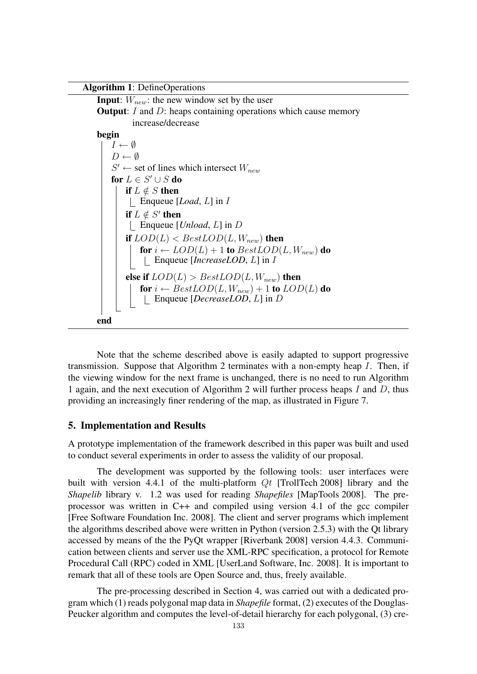

Note that the scheme described above is easily adapted to support progressive transmission. Suppose that Algorithm 2 terminates with a non-empty heap *I*. Then, if the viewing window for the next frame is unchanged, there is no need to run Algorithm 1 again, and the next execution of Algorithm 2 will further process heaps *I* and *D*, thus providing an increasingly finer rendering of the map, as illustrated in Figure 7.

# 5. Implementation and Results

A prototype implementation of the framework described in this paper was built and used to conduct several experiments in order to assess the validity of our proposal.

The development was supported by the following tools: user interfaces were built with version 4.4.1 of the multi-platform *Qt* [TrollTech 2008] library and the *Shapelib* library v. 1.2 was used for reading *Shapefiles* [MapTools 2008]. The preprocessor was written in C++ and compiled using version 4.1 of the gcc compiler [Free Software Foundation Inc. 2008]. The client and server programs which implement the algorithms described above were written in Python (version 2.5.3) with the Qt library accessed by means of the the PyQt wrapper [Riverbank 2008] version 4.4.3. Communication between clients and server use the XML-RPC specification, a protocol for Remote Procedural Call (RPC) coded in XML [UserLand Software, Inc. 2008]. It is important to remark that all of these tools are Open Source and, thus, freely available.

The pre-processing described in Section 4, was carried out with a dedicated program which (1) reads polygonal map data in *Shapefile* format, (2) executes of the Douglas-Peucker algorithm and computes the level-of-detail hierarchy for each polygonal, (3) cre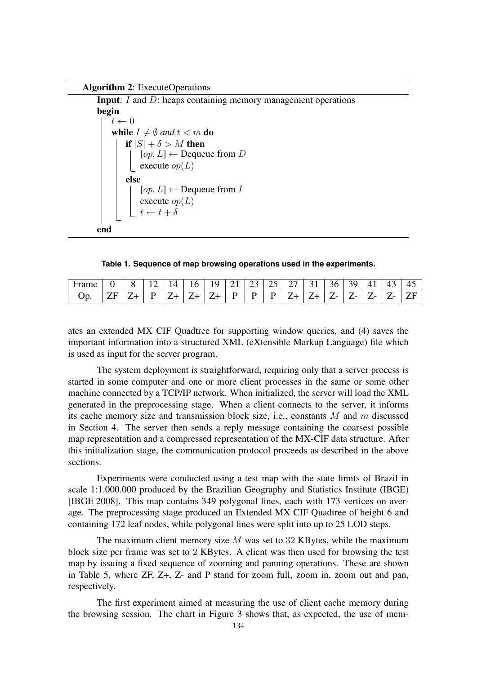Algorithm 2: ExecuteOperations

Input: *I* and *D*: heaps containing memory management operations begin  $t \leftarrow 0$ while  $I \neq \emptyset$  and  $t < m$  do if  $|S| + \delta > M$  then  $[op, L] \leftarrow$  Dequeue from *D*  $\vert$  execute *op*(*L*) else  $[op, L] \leftarrow$  Dequeue from *I* execute  $op(L)$  $t \leftarrow t + \delta$ end

**Table 1. Sequence of map browsing operations used in the experiments.**

| Frame           |   |   | $\Delta$<br>- | l6 | Q                    |   | 7.4 | $\rightarrow$<br>ت | つフ                      | $\sim$ 1 | 36                       | 39 |              | 43                | . .<br>45 |
|-----------------|---|---|---------------|----|----------------------|---|-----|--------------------|-------------------------|----------|--------------------------|----|--------------|-------------------|-----------|
| $\mathcal{D}$ . | ъ | D | 7             | 7. | $\overline{ }$<br>ॱ⊥ | D | D   | D                  | $\overline{ }$<br>் ⁄ ⊥ | ∙ ⊥      | $\mathbf{z}$<br><b>.</b> |    | $\mathbf{z}$ | $\mathbf{z}$<br>- | - ZEC     |

ates an extended MX CIF Quadtree for supporting window queries, and (4) saves the important information into a structured XML (eXtensible Markup Language) file which is used as input for the server program.

The system deployment is straightforward, requiring only that a server process is started in some computer and one or more client processes in the same or some other machine connected by a TCP/IP network. When initialized, the server will load the XML generated in the preprocessing stage. When a client connects to the server, it informs its cache memory size and transmission block size, i.e., constants *M* and *m* discussed in Section 4. The server then sends a reply message containing the coarsest possible map representation and a compressed representation of the MX-CIF data structure. After this initialization stage, the communication protocol proceeds as described in the above sections.

Experiments were conducted using a test map with the state limits of Brazil in scale 1:1.000.000 produced by the Brazilian Geography and Statistics Institute (IBGE) [IBGE 2008]. This map contains 349 polygonal lines, each with 173 vertices on average. The preprocessing stage produced an Extended MX CIF Quadtree of height 6 and containing 172 leaf nodes, while polygonal lines were split into up to 25 LOD steps.

The maximum client memory size *M* was set to 32 KBytes, while the maximum block size per frame was set to 2 KBytes. A client was then used for browsing the test map by issuing a fixed sequence of zooming and panning operations. These are shown in Table 5, where ZF, Z+, Z- and P stand for zoom full, zoom in, zoom out and pan, respectively.

The first experiment aimed at measuring the use of client cache memory during the browsing session. The chart in Figure 3 shows that, as expected, the use of mem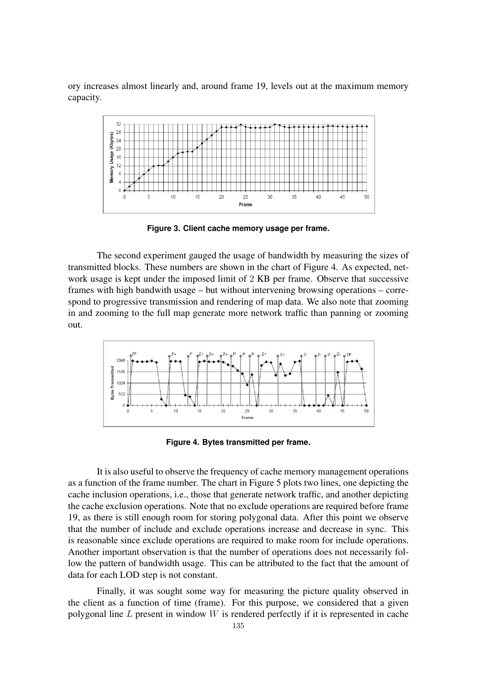ory increases almost linearly and, around frame 19, levels out at the maximum memory capacity.



**Figure 3. Client cache memory usage per frame.**

The second experiment gauged the usage of bandwidth by measuring the sizes of transmitted blocks. These numbers are shown in the chart of Figure 4. As expected, network usage is kept under the imposed limit of 2 KB per frame. Observe that successive frames with high bandwith usage – but without intervening browsing operations – correspond to progressive transmission and rendering of map data. We also note that zooming in and zooming to the full map generate more network traffic than panning or zooming out.



**Figure 4. Bytes transmitted per frame.**

It is also useful to observe the frequency of cache memory management operations as a function of the frame number. The chart in Figure 5 plots two lines, one depicting the cache inclusion operations, i.e., those that generate network traffic, and another depicting the cache exclusion operations. Note that no exclude operations are required before frame 19, as there is still enough room for storing polygonal data. After this point we observe that the number of include and exclude operations increase and decrease in sync. This is reasonable since exclude operations are required to make room for include operations. Another important observation is that the number of operations does not necessarily follow the pattern of bandwidth usage. This can be attributed to the fact that the amount of data for each LOD step is not constant.

Finally, it was sought some way for measuring the picture quality observed in the client as a function of time (frame). For this purpose, we considered that a given polygonal line *L* present in window *W* is rendered perfectly if it is represented in cache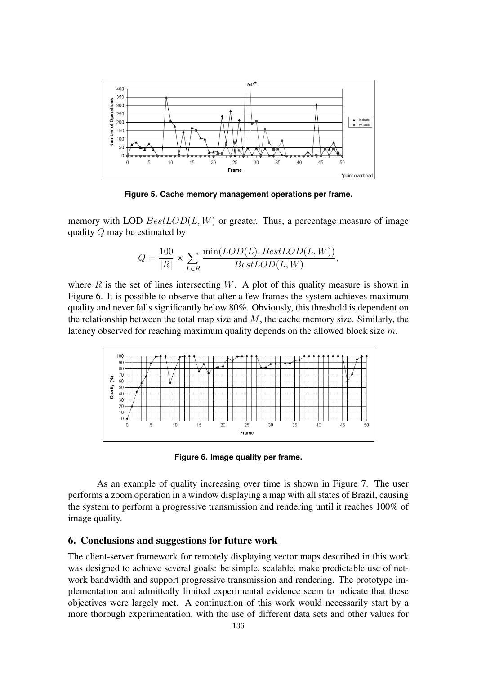

**Figure 5. Cache memory management operations per frame.**

memory with LOD  $BestLOD(L, W)$  or greater. Thus, a percentage measure of image quality *Q* may be estimated by

$$
Q = \frac{100}{|R|} \times \sum_{L \in R} \frac{\min(LOD(L), BestLOD(L, W))}{BestLOD(L, W)},
$$

where  $R$  is the set of lines intersecting  $W$ . A plot of this quality measure is shown in Figure 6. It is possible to observe that after a few frames the system achieves maximum quality and never falls significantly below 80%. Obviously, this threshold is dependent on the relationship between the total map size and *M*, the cache memory size. Similarly, the latency observed for reaching maximum quality depends on the allowed block size *m*.



**Figure 6. Image quality per frame.**

As an example of quality increasing over time is shown in Figure 7. The user performs a zoom operation in a window displaying a map with all states of Brazil, causing the system to perform a progressive transmission and rendering until it reaches 100% of image quality.

# 6. Conclusions and suggestions for future work

The client-server framework for remotely displaying vector maps described in this work was designed to achieve several goals: be simple, scalable, make predictable use of network bandwidth and support progressive transmission and rendering. The prototype implementation and admittedly limited experimental evidence seem to indicate that these objectives were largely met. A continuation of this work would necessarily start by a more thorough experimentation, with the use of different data sets and other values for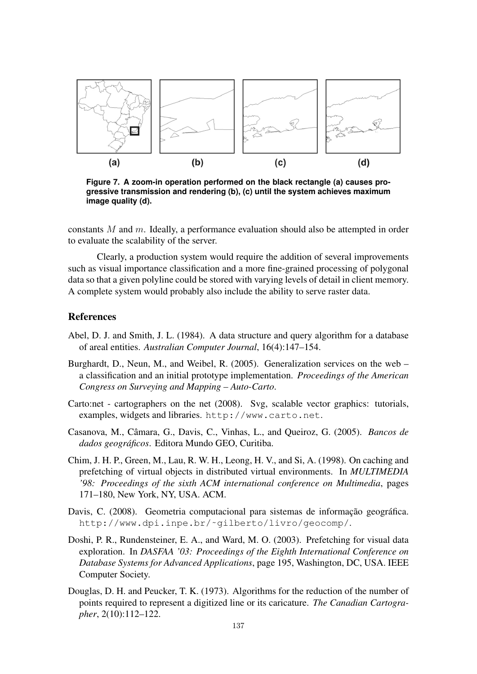

**Figure 7. A zoom-in operation performed on the black rectangle (a) causes progressive transmission and rendering (b), (c) until the system achieves maximum image quality (d).**

constants *M* and *m*. Ideally, a performance evaluation should also be attempted in order to evaluate the scalability of the server.

Clearly, a production system would require the addition of several improvements such as visual importance classification and a more fine-grained processing of polygonal data so that a given polyline could be stored with varying levels of detail in client memory. A complete system would probably also include the ability to serve raster data.

# References

- Abel, D. J. and Smith, J. L. (1984). A data structure and query algorithm for a database of areal entities. *Australian Computer Journal*, 16(4):147–154.
- Burghardt, D., Neun, M., and Weibel, R. (2005). Generalization services on the web  $$ a classification and an initial prototype implementation. *Proceedings of the American Congress on Surveying and Mapping – Auto-Carto*.
- Carto:net cartographers on the net (2008). Svg, scalable vector graphics: tutorials, examples, widgets and libraries. http://www.carto.net.
- Casanova, M., Câmara, G., Davis, C., Vinhas, L., and Queiroz, G. (2005). *Bancos de dados geograficos ´* . Editora Mundo GEO, Curitiba.
- Chim, J. H. P., Green, M., Lau, R. W. H., Leong, H. V., and Si, A. (1998). On caching and prefetching of virtual objects in distributed virtual environments. In *MULTIMEDIA '98: Proceedings of the sixth ACM international conference on Multimedia*, pages 171–180, New York, NY, USA. ACM.
- Davis, C. (2008). Geometria computacional para sistemas de informação geográfica. http://www.dpi.inpe.br/˜gilberto/livro/geocomp/.
- Doshi, P. R., Rundensteiner, E. A., and Ward, M. O. (2003). Prefetching for visual data exploration. In *DASFAA '03: Proceedings of the Eighth International Conference on Database Systems for Advanced Applications*, page 195, Washington, DC, USA. IEEE Computer Society.
- Douglas, D. H. and Peucker, T. K. (1973). Algorithms for the reduction of the number of points required to represent a digitized line or its caricature. *The Canadian Cartographer*, 2(10):112–122.